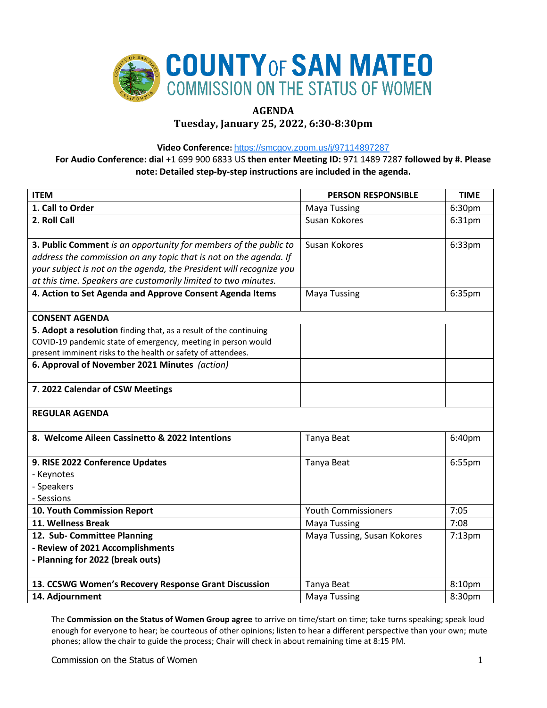

# **AGENDA**

**Tuesday, January 25, 2022, 6:30-8:30pm**

**Video Conference:** <https://smcgov.zoom.us/j/97114897287>

**For Audio Conference: dial** +1 699 900 6833 US **then enter Meeting ID:** 971 1489 7287 **followed by #. Please note: Detailed step-by-step instructions are included in the agenda.**

| <b>ITEM</b>                                                         | <b>PERSON RESPONSIBLE</b>   | <b>TIME</b> |
|---------------------------------------------------------------------|-----------------------------|-------------|
| 1. Call to Order                                                    | <b>Maya Tussing</b>         | 6:30pm      |
| 2. Roll Call                                                        | Susan Kokores               | 6:31pm      |
| 3. Public Comment is an opportunity for members of the public to    | Susan Kokores               | 6:33pm      |
| address the commission on any topic that is not on the agenda. If   |                             |             |
| your subject is not on the agenda, the President will recognize you |                             |             |
| at this time. Speakers are customarily limited to two minutes.      |                             |             |
| 4. Action to Set Agenda and Approve Consent Agenda Items            | <b>Maya Tussing</b>         | 6:35pm      |
| <b>CONSENT AGENDA</b>                                               |                             |             |
| 5. Adopt a resolution finding that, as a result of the continuing   |                             |             |
| COVID-19 pandemic state of emergency, meeting in person would       |                             |             |
| present imminent risks to the health or safety of attendees.        |                             |             |
| 6. Approval of November 2021 Minutes (action)                       |                             |             |
| 7. 2022 Calendar of CSW Meetings                                    |                             |             |
| <b>REGULAR AGENDA</b>                                               |                             |             |
| 8. Welcome Aileen Cassinetto & 2022 Intentions                      | Tanya Beat                  | 6:40pm      |
| 9. RISE 2022 Conference Updates                                     | Tanya Beat                  | 6:55pm      |
| - Keynotes                                                          |                             |             |
| - Speakers                                                          |                             |             |
| - Sessions                                                          |                             |             |
| 10. Youth Commission Report                                         | <b>Youth Commissioners</b>  | 7:05        |
| 11. Wellness Break                                                  | <b>Maya Tussing</b>         | 7:08        |
| 12. Sub- Committee Planning                                         | Maya Tussing, Susan Kokores | $7:13$ pm   |
| - Review of 2021 Accomplishments                                    |                             |             |
| - Planning for 2022 (break outs)                                    |                             |             |
|                                                                     |                             |             |
| 13. CCSWG Women's Recovery Response Grant Discussion                | Tanya Beat                  | 8:10pm      |
| 14. Adjournment                                                     | <b>Maya Tussing</b>         | 8:30pm      |

The **Commission on the Status of Women Group agree** to arrive on time/start on time; take turns speaking; speak loud enough for everyone to hear; be courteous of other opinions; listen to hear a different perspective than your own; mute phones; allow the chair to guide the process; Chair will check in about remaining time at 8:15 PM.

Commission on the Status of Women 1 and 200 minutes of the Status of Women 1 and 200 minutes of the Status of Women 1 and 200 minutes of the Status of Women 1 and 200 minutes of the Status of Women 1 and 200 minutes of the